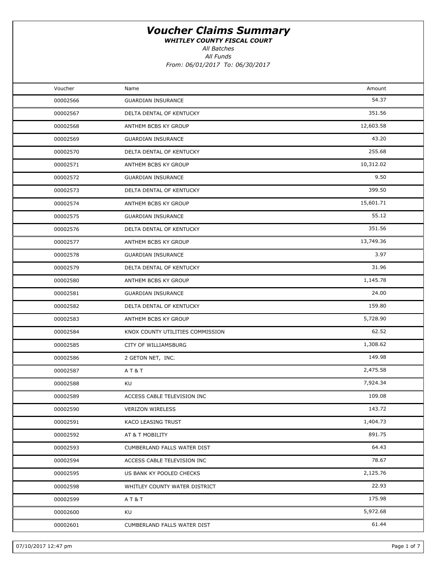WHITLEY COUNTY FISCAL COURT

All Funds All Batches

| Voucher<br>Amount<br>Name<br>54.37<br>00002566<br><b>GUARDIAN INSURANCE</b><br>351.56<br>00002567<br>DELTA DENTAL OF KENTUCKY<br>12,603.58<br>00002568<br>ANTHEM BCBS KY GROUP<br>43.20<br>00002569<br><b>GUARDIAN INSURANCE</b><br>255.68<br>00002570<br>DELTA DENTAL OF KENTUCKY<br>10,312.02<br>00002571<br>ANTHEM BCBS KY GROUP<br>9.50<br>00002572<br><b>GUARDIAN INSURANCE</b><br>399.50<br>00002573<br>DELTA DENTAL OF KENTUCKY<br>15,601.71<br>00002574<br>ANTHEM BCBS KY GROUP<br>55.12<br>00002575<br><b>GUARDIAN INSURANCE</b><br>351.56<br>00002576<br>DELTA DENTAL OF KENTUCKY<br>13,749.36<br>00002577<br>ANTHEM BCBS KY GROUP<br>3.97<br>00002578<br><b>GUARDIAN INSURANCE</b><br>31.96<br>00002579<br>DELTA DENTAL OF KENTUCKY<br>1,145.78<br>00002580<br>ANTHEM BCBS KY GROUP<br>24.00<br>00002581<br><b>GUARDIAN INSURANCE</b><br>159.80<br>00002582<br>DELTA DENTAL OF KENTUCKY<br>5,728.90<br>00002583<br>ANTHEM BCBS KY GROUP<br>62.52<br>00002584<br>KNOX COUNTY UTILITIES COMMISSION<br>1,308.62<br>00002585<br>CITY OF WILLIAMSBURG<br>149.98<br>00002586<br>2 GETON NET, INC.<br>2,475.58<br>00002587<br>A T & T<br>7,924.34<br>00002588<br>KU<br>109.08<br>00002589<br>ACCESS CABLE TELEVISION INC<br>143.72<br>00002590<br><b>VERIZON WIRELESS</b><br>1,404.73<br>00002591<br>KACO LEASING TRUST<br>891.75<br>00002592<br>AT & T MOBILITY<br>64.43<br>00002593<br>CUMBERLAND FALLS WATER DIST<br>78.67<br>00002594<br>ACCESS CABLE TELEVISION INC<br>2,125.76<br>00002595<br>US BANK KY POOLED CHECKS<br>22.93<br>00002598<br>WHITLEY COUNTY WATER DISTRICT<br>175.98<br>00002599<br>A T & T<br>5,972.68<br>00002600<br>KU<br>61.44<br>00002601<br>CUMBERLAND FALLS WATER DIST |  |  |
|-----------------------------------------------------------------------------------------------------------------------------------------------------------------------------------------------------------------------------------------------------------------------------------------------------------------------------------------------------------------------------------------------------------------------------------------------------------------------------------------------------------------------------------------------------------------------------------------------------------------------------------------------------------------------------------------------------------------------------------------------------------------------------------------------------------------------------------------------------------------------------------------------------------------------------------------------------------------------------------------------------------------------------------------------------------------------------------------------------------------------------------------------------------------------------------------------------------------------------------------------------------------------------------------------------------------------------------------------------------------------------------------------------------------------------------------------------------------------------------------------------------------------------------------------------------------------------------------------------------------------------------------------------------------------------------------------------------|--|--|
|                                                                                                                                                                                                                                                                                                                                                                                                                                                                                                                                                                                                                                                                                                                                                                                                                                                                                                                                                                                                                                                                                                                                                                                                                                                                                                                                                                                                                                                                                                                                                                                                                                                                                                           |  |  |
|                                                                                                                                                                                                                                                                                                                                                                                                                                                                                                                                                                                                                                                                                                                                                                                                                                                                                                                                                                                                                                                                                                                                                                                                                                                                                                                                                                                                                                                                                                                                                                                                                                                                                                           |  |  |
|                                                                                                                                                                                                                                                                                                                                                                                                                                                                                                                                                                                                                                                                                                                                                                                                                                                                                                                                                                                                                                                                                                                                                                                                                                                                                                                                                                                                                                                                                                                                                                                                                                                                                                           |  |  |
|                                                                                                                                                                                                                                                                                                                                                                                                                                                                                                                                                                                                                                                                                                                                                                                                                                                                                                                                                                                                                                                                                                                                                                                                                                                                                                                                                                                                                                                                                                                                                                                                                                                                                                           |  |  |
|                                                                                                                                                                                                                                                                                                                                                                                                                                                                                                                                                                                                                                                                                                                                                                                                                                                                                                                                                                                                                                                                                                                                                                                                                                                                                                                                                                                                                                                                                                                                                                                                                                                                                                           |  |  |
|                                                                                                                                                                                                                                                                                                                                                                                                                                                                                                                                                                                                                                                                                                                                                                                                                                                                                                                                                                                                                                                                                                                                                                                                                                                                                                                                                                                                                                                                                                                                                                                                                                                                                                           |  |  |
|                                                                                                                                                                                                                                                                                                                                                                                                                                                                                                                                                                                                                                                                                                                                                                                                                                                                                                                                                                                                                                                                                                                                                                                                                                                                                                                                                                                                                                                                                                                                                                                                                                                                                                           |  |  |
|                                                                                                                                                                                                                                                                                                                                                                                                                                                                                                                                                                                                                                                                                                                                                                                                                                                                                                                                                                                                                                                                                                                                                                                                                                                                                                                                                                                                                                                                                                                                                                                                                                                                                                           |  |  |
|                                                                                                                                                                                                                                                                                                                                                                                                                                                                                                                                                                                                                                                                                                                                                                                                                                                                                                                                                                                                                                                                                                                                                                                                                                                                                                                                                                                                                                                                                                                                                                                                                                                                                                           |  |  |
|                                                                                                                                                                                                                                                                                                                                                                                                                                                                                                                                                                                                                                                                                                                                                                                                                                                                                                                                                                                                                                                                                                                                                                                                                                                                                                                                                                                                                                                                                                                                                                                                                                                                                                           |  |  |
|                                                                                                                                                                                                                                                                                                                                                                                                                                                                                                                                                                                                                                                                                                                                                                                                                                                                                                                                                                                                                                                                                                                                                                                                                                                                                                                                                                                                                                                                                                                                                                                                                                                                                                           |  |  |
|                                                                                                                                                                                                                                                                                                                                                                                                                                                                                                                                                                                                                                                                                                                                                                                                                                                                                                                                                                                                                                                                                                                                                                                                                                                                                                                                                                                                                                                                                                                                                                                                                                                                                                           |  |  |
|                                                                                                                                                                                                                                                                                                                                                                                                                                                                                                                                                                                                                                                                                                                                                                                                                                                                                                                                                                                                                                                                                                                                                                                                                                                                                                                                                                                                                                                                                                                                                                                                                                                                                                           |  |  |
|                                                                                                                                                                                                                                                                                                                                                                                                                                                                                                                                                                                                                                                                                                                                                                                                                                                                                                                                                                                                                                                                                                                                                                                                                                                                                                                                                                                                                                                                                                                                                                                                                                                                                                           |  |  |
|                                                                                                                                                                                                                                                                                                                                                                                                                                                                                                                                                                                                                                                                                                                                                                                                                                                                                                                                                                                                                                                                                                                                                                                                                                                                                                                                                                                                                                                                                                                                                                                                                                                                                                           |  |  |
|                                                                                                                                                                                                                                                                                                                                                                                                                                                                                                                                                                                                                                                                                                                                                                                                                                                                                                                                                                                                                                                                                                                                                                                                                                                                                                                                                                                                                                                                                                                                                                                                                                                                                                           |  |  |
|                                                                                                                                                                                                                                                                                                                                                                                                                                                                                                                                                                                                                                                                                                                                                                                                                                                                                                                                                                                                                                                                                                                                                                                                                                                                                                                                                                                                                                                                                                                                                                                                                                                                                                           |  |  |
|                                                                                                                                                                                                                                                                                                                                                                                                                                                                                                                                                                                                                                                                                                                                                                                                                                                                                                                                                                                                                                                                                                                                                                                                                                                                                                                                                                                                                                                                                                                                                                                                                                                                                                           |  |  |
|                                                                                                                                                                                                                                                                                                                                                                                                                                                                                                                                                                                                                                                                                                                                                                                                                                                                                                                                                                                                                                                                                                                                                                                                                                                                                                                                                                                                                                                                                                                                                                                                                                                                                                           |  |  |
|                                                                                                                                                                                                                                                                                                                                                                                                                                                                                                                                                                                                                                                                                                                                                                                                                                                                                                                                                                                                                                                                                                                                                                                                                                                                                                                                                                                                                                                                                                                                                                                                                                                                                                           |  |  |
|                                                                                                                                                                                                                                                                                                                                                                                                                                                                                                                                                                                                                                                                                                                                                                                                                                                                                                                                                                                                                                                                                                                                                                                                                                                                                                                                                                                                                                                                                                                                                                                                                                                                                                           |  |  |
|                                                                                                                                                                                                                                                                                                                                                                                                                                                                                                                                                                                                                                                                                                                                                                                                                                                                                                                                                                                                                                                                                                                                                                                                                                                                                                                                                                                                                                                                                                                                                                                                                                                                                                           |  |  |
|                                                                                                                                                                                                                                                                                                                                                                                                                                                                                                                                                                                                                                                                                                                                                                                                                                                                                                                                                                                                                                                                                                                                                                                                                                                                                                                                                                                                                                                                                                                                                                                                                                                                                                           |  |  |
|                                                                                                                                                                                                                                                                                                                                                                                                                                                                                                                                                                                                                                                                                                                                                                                                                                                                                                                                                                                                                                                                                                                                                                                                                                                                                                                                                                                                                                                                                                                                                                                                                                                                                                           |  |  |
|                                                                                                                                                                                                                                                                                                                                                                                                                                                                                                                                                                                                                                                                                                                                                                                                                                                                                                                                                                                                                                                                                                                                                                                                                                                                                                                                                                                                                                                                                                                                                                                                                                                                                                           |  |  |
|                                                                                                                                                                                                                                                                                                                                                                                                                                                                                                                                                                                                                                                                                                                                                                                                                                                                                                                                                                                                                                                                                                                                                                                                                                                                                                                                                                                                                                                                                                                                                                                                                                                                                                           |  |  |
|                                                                                                                                                                                                                                                                                                                                                                                                                                                                                                                                                                                                                                                                                                                                                                                                                                                                                                                                                                                                                                                                                                                                                                                                                                                                                                                                                                                                                                                                                                                                                                                                                                                                                                           |  |  |
|                                                                                                                                                                                                                                                                                                                                                                                                                                                                                                                                                                                                                                                                                                                                                                                                                                                                                                                                                                                                                                                                                                                                                                                                                                                                                                                                                                                                                                                                                                                                                                                                                                                                                                           |  |  |
|                                                                                                                                                                                                                                                                                                                                                                                                                                                                                                                                                                                                                                                                                                                                                                                                                                                                                                                                                                                                                                                                                                                                                                                                                                                                                                                                                                                                                                                                                                                                                                                                                                                                                                           |  |  |
|                                                                                                                                                                                                                                                                                                                                                                                                                                                                                                                                                                                                                                                                                                                                                                                                                                                                                                                                                                                                                                                                                                                                                                                                                                                                                                                                                                                                                                                                                                                                                                                                                                                                                                           |  |  |
|                                                                                                                                                                                                                                                                                                                                                                                                                                                                                                                                                                                                                                                                                                                                                                                                                                                                                                                                                                                                                                                                                                                                                                                                                                                                                                                                                                                                                                                                                                                                                                                                                                                                                                           |  |  |
|                                                                                                                                                                                                                                                                                                                                                                                                                                                                                                                                                                                                                                                                                                                                                                                                                                                                                                                                                                                                                                                                                                                                                                                                                                                                                                                                                                                                                                                                                                                                                                                                                                                                                                           |  |  |
|                                                                                                                                                                                                                                                                                                                                                                                                                                                                                                                                                                                                                                                                                                                                                                                                                                                                                                                                                                                                                                                                                                                                                                                                                                                                                                                                                                                                                                                                                                                                                                                                                                                                                                           |  |  |
|                                                                                                                                                                                                                                                                                                                                                                                                                                                                                                                                                                                                                                                                                                                                                                                                                                                                                                                                                                                                                                                                                                                                                                                                                                                                                                                                                                                                                                                                                                                                                                                                                                                                                                           |  |  |
|                                                                                                                                                                                                                                                                                                                                                                                                                                                                                                                                                                                                                                                                                                                                                                                                                                                                                                                                                                                                                                                                                                                                                                                                                                                                                                                                                                                                                                                                                                                                                                                                                                                                                                           |  |  |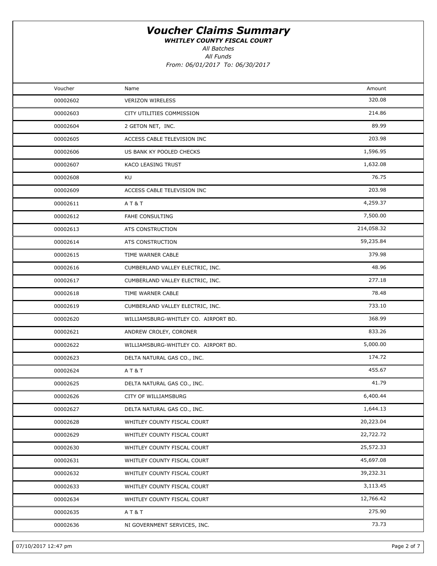WHITLEY COUNTY FISCAL COURT

All Batches

All Funds

| Voucher  | Name                                 | Amount     |  |
|----------|--------------------------------------|------------|--|
| 00002602 | <b>VERIZON WIRELESS</b>              | 320.08     |  |
| 00002603 | CITY UTILITIES COMMISSION            | 214.86     |  |
| 00002604 | 2 GETON NET, INC.                    | 89.99      |  |
| 00002605 | ACCESS CABLE TELEVISION INC          | 203.98     |  |
| 00002606 | US BANK KY POOLED CHECKS             | 1,596.95   |  |
| 00002607 | KACO LEASING TRUST                   | 1,632.08   |  |
| 00002608 | KU                                   | 76.75      |  |
| 00002609 | ACCESS CABLE TELEVISION INC          | 203.98     |  |
| 00002611 | <b>AT&amp;T</b>                      | 4,259.37   |  |
| 00002612 | FAHE CONSULTING                      | 7,500.00   |  |
| 00002613 | ATS CONSTRUCTION                     | 214,058.32 |  |
| 00002614 | ATS CONSTRUCTION                     | 59,235.84  |  |
| 00002615 | TIME WARNER CABLE                    | 379.98     |  |
| 00002616 | CUMBERLAND VALLEY ELECTRIC, INC.     | 48.96      |  |
| 00002617 | CUMBERLAND VALLEY ELECTRIC, INC.     | 277.18     |  |
| 00002618 | TIME WARNER CABLE                    | 78.48      |  |
| 00002619 | CUMBERLAND VALLEY ELECTRIC, INC.     | 733.10     |  |
| 00002620 | WILLIAMSBURG-WHITLEY CO. AIRPORT BD. | 368.99     |  |
| 00002621 | ANDREW CROLEY, CORONER               | 833.26     |  |
| 00002622 | WILLIAMSBURG-WHITLEY CO. AIRPORT BD. | 5,000.00   |  |
| 00002623 | DELTA NATURAL GAS CO., INC.          | 174.72     |  |
| 00002624 | <b>AT&amp;T</b>                      | 455.67     |  |
| 00002625 | DELTA NATURAL GAS CO., INC.          | 41.79      |  |
| 00002626 | CITY OF WILLIAMSBURG                 | 6,400.44   |  |
| 00002627 | DELTA NATURAL GAS CO., INC.          | 1,644.13   |  |
| 00002628 | WHITLEY COUNTY FISCAL COURT          | 20,223.04  |  |
| 00002629 | WHITLEY COUNTY FISCAL COURT          | 22,722.72  |  |
| 00002630 | WHITLEY COUNTY FISCAL COURT          | 25,572.33  |  |
| 00002631 | WHITLEY COUNTY FISCAL COURT          | 45,697.08  |  |
| 00002632 | WHITLEY COUNTY FISCAL COURT          | 39,232.31  |  |
| 00002633 | WHITLEY COUNTY FISCAL COURT          | 3,113.45   |  |
| 00002634 | WHITLEY COUNTY FISCAL COURT          | 12,766.42  |  |
| 00002635 | A T & T                              | 275.90     |  |
| 00002636 | NI GOVERNMENT SERVICES, INC.         | 73.73      |  |
|          |                                      |            |  |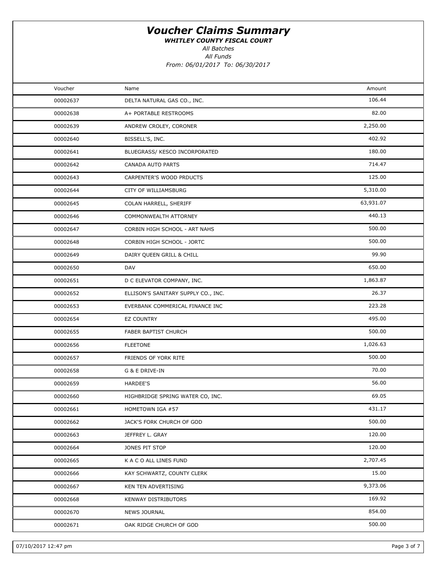WHITLEY COUNTY FISCAL COURT

All Batches

All Funds

| Voucher  | Name                                | Amount    |  |
|----------|-------------------------------------|-----------|--|
| 00002637 | DELTA NATURAL GAS CO., INC.         | 106.44    |  |
| 00002638 | A+ PORTABLE RESTROOMS               | 82.00     |  |
| 00002639 | ANDREW CROLEY, CORONER              | 2,250.00  |  |
| 00002640 | BISSELL'S, INC.                     | 402.92    |  |
| 00002641 | BLUEGRASS/ KESCO INCORPORATED       | 180.00    |  |
| 00002642 | CANADA AUTO PARTS                   | 714.47    |  |
| 00002643 | CARPENTER'S WOOD PRDUCTS            | 125.00    |  |
| 00002644 | CITY OF WILLIAMSBURG                | 5,310.00  |  |
| 00002645 | COLAN HARRELL, SHERIFF              | 63,931.07 |  |
| 00002646 | COMMONWEALTH ATTORNEY               | 440.13    |  |
| 00002647 | CORBIN HIGH SCHOOL - ART NAHS       | 500.00    |  |
| 00002648 | CORBIN HIGH SCHOOL - JORTC          | 500.00    |  |
| 00002649 | DAIRY QUEEN GRILL & CHILL           | 99.90     |  |
| 00002650 | <b>DAV</b>                          | 650.00    |  |
| 00002651 | D C ELEVATOR COMPANY, INC.          | 1,863.87  |  |
| 00002652 | ELLISON'S SANITARY SUPPLY CO., INC. | 26.37     |  |
| 00002653 | EVERBANK COMMERICAL FINANCE INC     | 223.28    |  |
| 00002654 | EZ COUNTRY                          | 495.00    |  |
| 00002655 | FABER BAPTIST CHURCH                | 500.00    |  |
| 00002656 | <b>FLEETONE</b>                     | 1,026.63  |  |
| 00002657 | FRIENDS OF YORK RITE                | 500.00    |  |
| 00002658 | G & E DRIVE-IN                      | 70.00     |  |
| 00002659 | HARDEE'S                            | 56.00     |  |
| 00002660 | HIGHBRIDGE SPRING WATER CO, INC.    | 69.05     |  |
| 00002661 | HOMETOWN IGA #57                    | 431.17    |  |
| 00002662 | JACK'S FORK CHURCH OF GOD           | 500.00    |  |
| 00002663 | JEFFREY L. GRAY                     | 120.00    |  |
| 00002664 | JONES PIT STOP                      | 120.00    |  |
| 00002665 | K A C O ALL LINES FUND              | 2,707.45  |  |
| 00002666 | KAY SCHWARTZ, COUNTY CLERK          | 15.00     |  |
| 00002667 | KEN TEN ADVERTISING                 | 9,373.06  |  |
| 00002668 | <b>KENWAY DISTRIBUTORS</b>          | 169.92    |  |
| 00002670 | <b>NEWS JOURNAL</b>                 | 854.00    |  |
| 00002671 | OAK RIDGE CHURCH OF GOD             | 500.00    |  |
|          |                                     |           |  |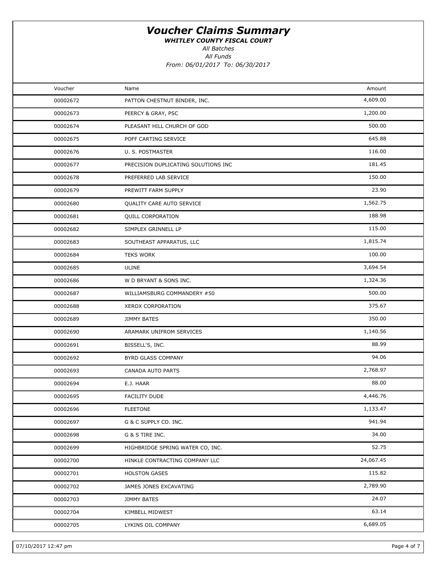WHITLEY COUNTY FISCAL COURT

All Batches

All Funds

| Voucher  | Name                                | Amount    |  |
|----------|-------------------------------------|-----------|--|
| 00002672 | PATTON CHESTNUT BINDER, INC.        | 4,609.00  |  |
| 00002673 | PEERCY & GRAY, PSC                  | 1,200.00  |  |
| 00002674 | PLEASANT HILL CHURCH OF GOD         | 500.00    |  |
| 00002675 | POFF CARTING SERVICE                | 645.88    |  |
| 00002676 | U. S. POSTMASTER                    | 116.00    |  |
| 00002677 | PRECISION DUPLICATING SOLUTIONS INC | 181.45    |  |
| 00002678 | PREFERRED LAB SERVICE               | 150.00    |  |
| 00002679 | PREWITT FARM SUPPLY                 | 23.90     |  |
| 00002680 | QUALITY CARE AUTO SERVICE           | 1,562.75  |  |
| 00002681 | QUILL CORPORATION                   | 188.98    |  |
| 00002682 | SIMPLEX GRINNELL LP                 | 115.00    |  |
| 00002683 | SOUTHEAST APPARATUS, LLC            | 1,815.74  |  |
| 00002684 | <b>TEKS WORK</b>                    | 100.00    |  |
| 00002685 | ULINE                               | 3,694.54  |  |
| 00002686 | W D BRYANT & SONS INC.              | 1,324.36  |  |
| 00002687 | WILLIAMSBURG COMMANDERY #50         | 500.00    |  |
| 00002688 | XEROX CORPORATION                   | 375.67    |  |
| 00002689 | JIMMY BATES                         | 350.00    |  |
| 00002690 | ARAMARK UNIFROM SERVICES            | 1,140.56  |  |
| 00002691 | BISSELL'S, INC.                     | 88.99     |  |
| 00002692 | BYRD GLASS COMPANY                  | 94.06     |  |
| 00002693 | CANADA AUTO PARTS                   | 2,768.97  |  |
| 00002694 | E.J. HAAR                           | 88.00     |  |
| 00002695 | FACILITY DUDE                       | 4,446.76  |  |
| 00002696 | <b>FLEETONE</b>                     | 1,133.47  |  |
| 00002697 | G & C SUPPLY CO. INC.               | 941.94    |  |
| 00002698 | G & S TIRE INC.                     | 34.00     |  |
| 00002699 | HIGHBRIDGE SPRING WATER CO, INC.    | 52.75     |  |
| 00002700 | HINKLE CONTRACTING COMPANY LLC      | 24,067.45 |  |
| 00002701 | <b>HOLSTON GASES</b>                | 115.82    |  |
| 00002702 | JAMES JONES EXCAVATING              | 2,789.90  |  |
| 00002703 | JIMMY BATES                         | 24.07     |  |
| 00002704 | KIMBELL MIDWEST                     | 63.14     |  |
| 00002705 | LYKINS OIL COMPANY                  | 6,689.05  |  |
|          |                                     |           |  |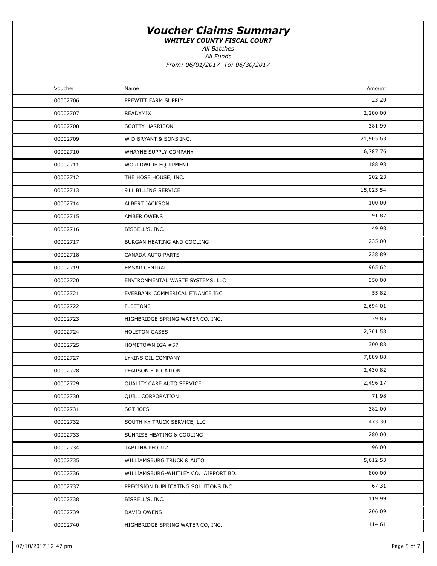WHITLEY COUNTY FISCAL COURT

All Batches

All Funds

| Voucher  | Name                                 | Amount    |  |
|----------|--------------------------------------|-----------|--|
| 00002706 | PREWITT FARM SUPPLY                  | 23.20     |  |
| 00002707 | READYMIX                             | 2,200.00  |  |
| 00002708 | <b>SCOTTY HARRISON</b>               | 381.99    |  |
| 00002709 | W D BRYANT & SONS INC.               | 21,905.63 |  |
| 00002710 | WHAYNE SUPPLY COMPANY                | 6,787.76  |  |
| 00002711 | WORLDWIDE EQUIPMENT                  | 188.98    |  |
| 00002712 | THE HOSE HOUSE, INC.                 | 202.23    |  |
| 00002713 | 911 BILLING SERVICE                  | 15,025.54 |  |
| 00002714 | ALBERT JACKSON                       | 100.00    |  |
| 00002715 | AMBER OWENS                          | 91.82     |  |
| 00002716 | BISSELL'S, INC.                      | 49.98     |  |
| 00002717 | BURGAN HEATING AND COOLING           | 235.00    |  |
| 00002718 | CANADA AUTO PARTS                    | 238.89    |  |
| 00002719 | <b>EMSAR CENTRAL</b>                 | 965.62    |  |
| 00002720 | ENVIRONMENTAL WASTE SYSTEMS, LLC     | 350.00    |  |
| 00002721 | EVERBANK COMMERICAL FINANCE INC      | 55.82     |  |
| 00002722 | <b>FLEETONE</b>                      | 2,694.01  |  |
| 00002723 | HIGHBRIDGE SPRING WATER CO, INC.     | 29.85     |  |
| 00002724 | <b>HOLSTON GASES</b>                 | 2,761.58  |  |
| 00002725 | HOMETOWN IGA #57                     | 300.88    |  |
| 00002727 | LYKINS OIL COMPANY                   | 7,889.88  |  |
| 00002728 | PEARSON EDUCATION                    | 2,430.82  |  |
| 00002729 | QUALITY CARE AUTO SERVICE            | 2,496.17  |  |
| 00002730 | <b>QUILL CORPORATION</b>             | 71.98     |  |
| 00002731 | SGT JOES                             | 382.00    |  |
| 00002732 | SOUTH KY TRUCK SERVICE, LLC          | 473.30    |  |
| 00002733 | <b>SUNRISE HEATING &amp; COOLING</b> | 280.00    |  |
| 00002734 | TABITHA PFOUTZ                       | 96.00     |  |
| 00002735 | WILLIAMSBURG TRUCK & AUTO            | 5,612.53  |  |
| 00002736 | WILLIAMSBURG-WHITLEY CO. AIRPORT BD. | 800.00    |  |
| 00002737 | PRECISION DUPLICATING SOLUTIONS INC  | 67.31     |  |
| 00002738 | BISSELL'S, INC.                      | 119.99    |  |
| 00002739 | DAVID OWENS                          | 206.09    |  |
| 00002740 | HIGHBRIDGE SPRING WATER CO, INC.     | 114.61    |  |
|          |                                      |           |  |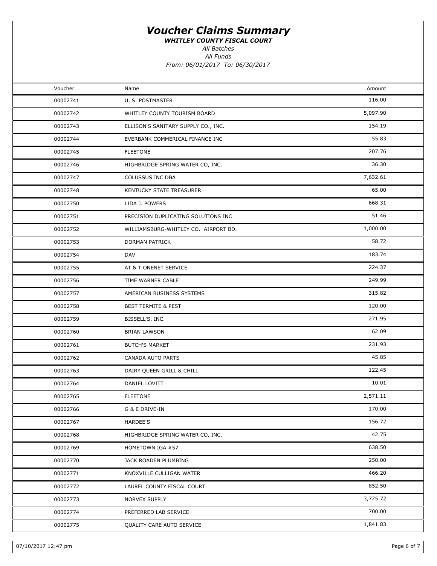WHITLEY COUNTY FISCAL COURT

All Batches

All Funds

| Voucher  | Name                                 | Amount   |  |
|----------|--------------------------------------|----------|--|
| 00002741 | U. S. POSTMASTER                     | 116.00   |  |
| 00002742 | WHITLEY COUNTY TOURISM BOARD         | 5,097.90 |  |
| 00002743 | ELLISON'S SANITARY SUPPLY CO., INC.  | 154.19   |  |
| 00002744 | EVERBANK COMMERICAL FINANCE INC      | 55.83    |  |
| 00002745 | <b>FLEETONE</b>                      | 207.76   |  |
| 00002746 | HIGHBRIDGE SPRING WATER CO, INC.     | 36.30    |  |
| 00002747 | <b>COLUSSUS INC DBA</b>              | 7,632.61 |  |
| 00002748 | KENTUCKY STATE TREASURER             | 65.00    |  |
| 00002750 | LIDA J. POWERS                       | 668.31   |  |
| 00002751 | PRECISION DUPLICATING SOLUTIONS INC  | 51.46    |  |
| 00002752 | WILLIAMSBURG-WHITLEY CO. AIRPORT BD. | 1,000.00 |  |
| 00002753 | DORMAN PATRICK                       | 58.72    |  |
| 00002754 | DAV                                  | 183.74   |  |
| 00002755 | AT & T ONENET SERVICE                | 224.37   |  |
| 00002756 | TIME WARNER CABLE                    | 249.99   |  |
| 00002757 | AMERICAN BUSINESS SYSTEMS            | 315.82   |  |
| 00002758 | <b>BEST TERMITE &amp; PEST</b>       | 120.00   |  |
| 00002759 | BISSELL'S, INC.                      | 271.95   |  |
| 00002760 | <b>BRIAN LAWSON</b>                  | 62.09    |  |
| 00002761 | <b>BUTCH'S MARKET</b>                | 231.93   |  |
| 00002762 | <b>CANADA AUTO PARTS</b>             | 45.85    |  |
| 00002763 | DAIRY QUEEN GRILL & CHILL            | 122.45   |  |
| 00002764 | DANIEL LOVITT                        | 10.01    |  |
| 00002765 | <b>FLEETONE</b>                      | 2,571.11 |  |
| 00002766 | G & E DRIVE-IN                       | 170.00   |  |
| 00002767 | HARDEE'S                             | 156.72   |  |
| 00002768 | HIGHBRIDGE SPRING WATER CO, INC.     | 42.75    |  |
| 00002769 | HOMETOWN IGA #57                     | 638.50   |  |
| 00002770 | JACK ROADEN PLUMBING                 | 250.00   |  |
| 00002771 | KNOXVILLE CULLIGAN WATER             | 466.20   |  |
| 00002772 | LAUREL COUNTY FISCAL COURT           | 852.50   |  |
| 00002773 | NORVEX SUPPLY                        | 3,725.72 |  |
| 00002774 | PREFERRED LAB SERVICE                | 700.00   |  |
| 00002775 | QUALITY CARE AUTO SERVICE            | 1,841.83 |  |
|          |                                      |          |  |